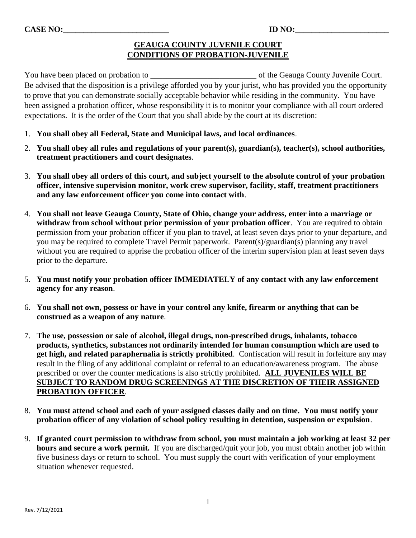## **GEAUGA COUNTY JUVENILE COURT CONDITIONS OF PROBATION-JUVENILE**

You have been placed on probation to \_\_\_\_\_\_\_\_\_\_\_\_\_\_\_\_\_\_\_\_\_\_\_\_\_\_ of the Geauga County Juvenile Court. Be advised that the disposition is a privilege afforded you by your jurist, who has provided you the opportunity to prove that you can demonstrate socially acceptable behavior while residing in the community. You have been assigned a probation officer, whose responsibility it is to monitor your compliance with all court ordered expectations. It is the order of the Court that you shall abide by the court at its discretion:

- 1. **You shall obey all Federal, State and Municipal laws, and local ordinances**.
- 2. **You shall obey all rules and regulations of your parent(s), guardian(s), teacher(s), school authorities, treatment practitioners and court designates**.
- 3. **You shall obey all orders of this court, and subject yourself to the absolute control of your probation officer, intensive supervision monitor, work crew supervisor, facility, staff, treatment practitioners and any law enforcement officer you come into contact with**.
- 4. **You shall not leave Geauga County, State of Ohio, change your address, enter into a marriage or withdraw from school without prior permission of your probation officer**. You are required to obtain permission from your probation officer if you plan to travel, at least seven days prior to your departure, and you may be required to complete Travel Permit paperwork. Parent(s)/guardian(s) planning any travel without you are required to apprise the probation officer of the interim supervision plan at least seven days prior to the departure.
- 5. **You must notify your probation officer IMMEDIATELY of any contact with any law enforcement agency for any reason**.
- 6. **You shall not own, possess or have in your control any knife, firearm or anything that can be construed as a weapon of any nature**.
- 7. **The use, possession or sale of alcohol, illegal drugs, non-prescribed drugs, inhalants, tobacco products, synthetics, substances not ordinarily intended for human consumption which are used to get high, and related paraphernalia is strictly prohibited**. Confiscation will result in forfeiture any may result in the filing of any additional complaint or referral to an education/awareness program. The abuse prescribed or over the counter medications is also strictly prohibited. **ALL JUVENILES WILL BE SUBJECT TO RANDOM DRUG SCREENINGS AT THE DISCRETION OF THEIR ASSIGNED PROBATION OFFICER**.
- 8. **You must attend school and each of your assigned classes daily and on time. You must notify your probation officer of any violation of school policy resulting in detention, suspension or expulsion**.
- 9. **If granted court permission to withdraw from school, you must maintain a job working at least 32 per hours and secure a work permit.** If you are discharged/quit your job, you must obtain another job within five business days or return to school. You must supply the court with verification of your employment situation whenever requested.